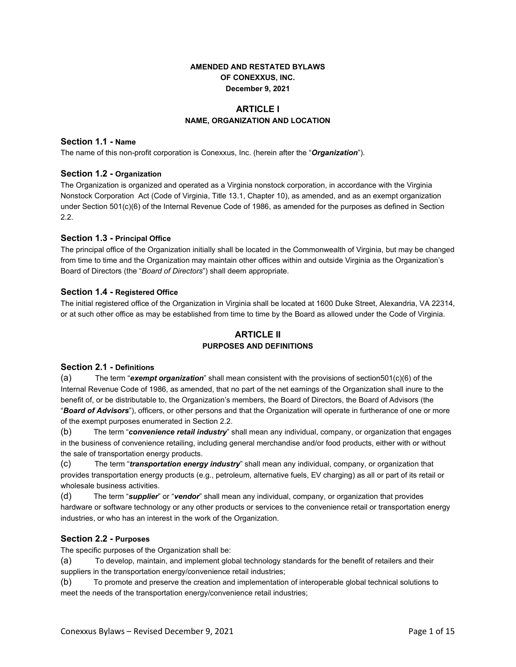# **AMENDED AND RESTATED BYLAWS OF CONEXXUS, INC. December 9, 2021**

# **ARTICLE I NAME, ORGANIZATION AND LOCATION**

## **Section 1.1 - Name**

The name of this non-profit corporation is Conexxus, Inc. (herein after the "*Organization*").

## **Section 1.2 - Organization**

The Organization is organized and operated as a Virginia nonstock corporation, in accordance with the Virginia Nonstock Corporation Act (Code of Virginia, Title 13.1, Chapter 10), as amended, and as an exempt organization under Section 501(c)(6) of the Internal Revenue Code of 1986, as amended for the purposes as defined in Section 2.2.

## **Section 1.3 - Principal Office**

The principal office of the Organization initially shall be located in the Commonwealth of Virginia, but may be changed from time to time and the Organization may maintain other offices within and outside Virginia as the Organization's Board of Directors (the "*Board of Directors*") shall deem appropriate.

## **Section 1.4 - Registered Office**

The initial registered office of the Organization in Virginia shall be located at 1600 Duke Street, Alexandria, VA 22314, or at such other office as may be established from time to time by the Board as allowed under the Code of Virginia.

# **ARTICLE II PURPOSES AND DEFINITIONS**

#### **Section 2.1 - Definitions**

(a) The term "*exempt organization*" shall mean consistent with the provisions of section501(c)(6) of the Internal Revenue Code of 1986, as amended, that no part of the net earnings of the Organization shall inure to the benefit of, or be distributable to, the Organization's members, the Board of Directors, the Board of Advisors (the "*Board of Advisors*"), officers, or other persons and that the Organization will operate in furtherance of one or more of the exempt purposes enumerated in Section 2.2.

(b) The term "*convenience retail industry*" shall mean any individual, company, or organization that engages in the business of convenience retailing, including general merchandise and/or food products, either with or without the sale of transportation energy products.

(c) The term "*transportation energy industry*" shall mean any individual, company, or organization that provides transportation energy products (e.g., petroleum, alternative fuels, EV charging) as all or part of its retail or wholesale business activities.

(d) The term "*supplier*" or "*vendor*" shall mean any individual, company, or organization that provides hardware or software technology or any other products or services to the convenience retail or transportation energy industries, or who has an interest in the work of the Organization.

## **Section 2.2 - Purposes**

The specific purposes of the Organization shall be:

(a) To develop, maintain, and implement global technology standards for the benefit of retailers and their suppliers in the transportation energy/convenience retail industries;

(b) To promote and preserve the creation and implementation of interoperable global technical solutions to meet the needs of the transportation energy/convenience retail industries;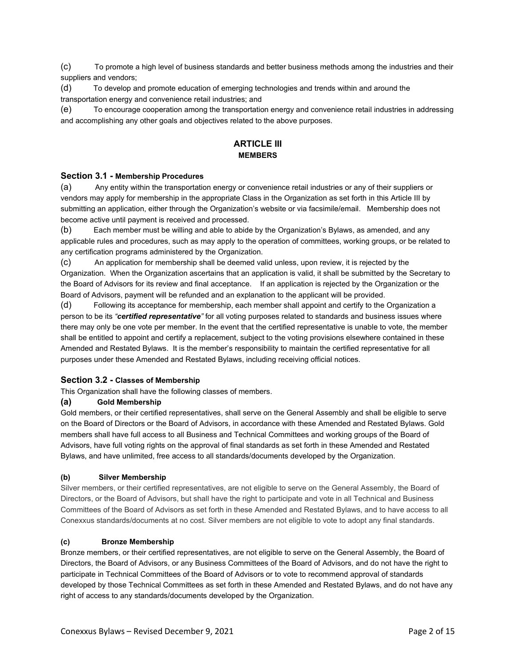(c) To promote a high level of business standards and better business methods among the industries and their suppliers and vendors;

(d) To develop and promote education of emerging technologies and trends within and around the transportation energy and convenience retail industries; and

(e) To encourage cooperation among the transportation energy and convenience retail industries in addressing and accomplishing any other goals and objectives related to the above purposes.

# *ARTICLE III* **MEMBERS**

## **Section 3.1 - Membership Procedures**

(a) Any entity within the transportation energy or convenience retail industries or any of their suppliers or vendors may apply for membership in the appropriate Class in the Organization as set forth in this Article III by submitting an application, either through the Organization's website or via facsimile/email. Membership does not become active until payment is received and processed.

(b) Each member must be willing and able to abide by the Organization's Bylaws, as amended, and any applicable rules and procedures, such as may apply to the operation of committees, working groups, or be related to any certification programs administered by the Organization.

(c) An application for membership shall be deemed valid unless, upon review, it is rejected by the Organization. When the Organization ascertains that an application is valid, it shall be submitted by the Secretary to the Board of Advisors for its review and final acceptance. If an application is rejected by the Organization or the Board of Advisors, payment will be refunded and an explanation to the applicant will be provided.

(d) Following its acceptance for membership, each member shall appoint and certify to the Organization a person to be its *"certified representative"* for all voting purposes related to standards and business issues where there may only be one vote per member. In the event that the certified representative is unable to vote, the member shall be entitled to appoint and certify a replacement, subject to the voting provisions elsewhere contained in these Amended and Restated Bylaws. It is the member's responsibility to maintain the certified representative for all purposes under these Amended and Restated Bylaws, including receiving official notices.

#### **Section 3.2 - Classes of Membership**

This Organization shall have the following classes of members.

#### **(a) Gold Membership**

Gold members, or their certified representatives, shall serve on the General Assembly and shall be eligible to serve on the Board of Directors or the Board of Advisors, in accordance with these Amended and Restated Bylaws. Gold members shall have full access to all Business and Technical Committees and working groups of the Board of Advisors, have full voting rights on the approval of final standards as set forth in these Amended and Restated Bylaws, and have unlimited, free access to all standards/documents developed by the Organization.

#### **(b) Silver Membership**

Silver members, or their certified representatives, are not eligible to serve on the General Assembly, the Board of Directors, or the Board of Advisors, but shall have the right to participate and vote in all Technical and Business Committees of the Board of Advisors as set forth in these Amended and Restated Bylaws, and to have access to all Conexxus standards/documents at no cost. Silver members are not eligible to vote to adopt any final standards.

#### **(c) Bronze Membership**

Bronze members, or their certified representatives, are not eligible to serve on the General Assembly, the Board of Directors, the Board of Advisors, or any Business Committees of the Board of Advisors, and do not have the right to participate in Technical Committees of the Board of Advisors or to vote to recommend approval of standards developed by those Technical Committees as set forth in these Amended and Restated Bylaws, and do not have any right of access to any standards/documents developed by the Organization.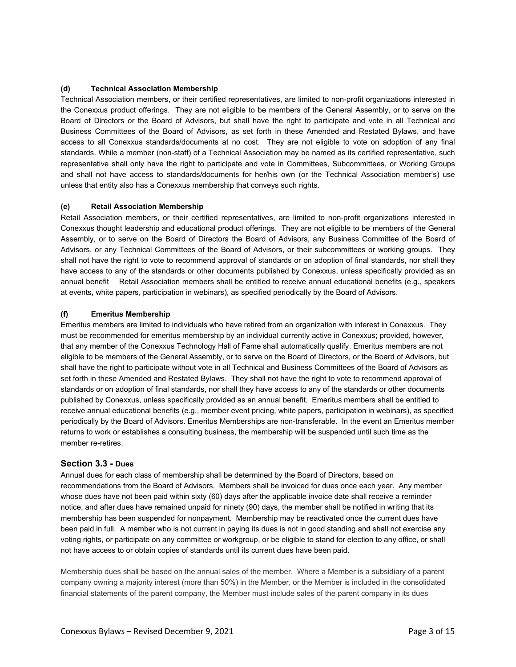## **(d) Technical Association Membership**

Technical Association members, or their certified representatives, are limited to non-profit organizations interested in the Conexxus product offerings. They are not eligible to be members of the General Assembly, or to serve on the Board of Directors or the Board of Advisors, but shall have the right to participate and vote in all Technical and Business Committees of the Board of Advisors, as set forth in these Amended and Restated Bylaws, and have access to all Conexxus standards/documents at no cost. They are not eligible to vote on adoption of any final standards. While a member (non-staff) of a Technical Association may be named as its certified representative, such representative shall only have the right to participate and vote in Committees, Subcommittees, or Working Groups and shall not have access to standards/documents for her/his own (or the Technical Association member's) use unless that entity also has a Conexxus membership that conveys such rights.

## **(e) Retail Association Membership**

Retail Association members, or their certified representatives, are limited to non-profit organizations interested in Conexxus thought leadership and educational product offerings. They are not eligible to be members of the General Assembly, or to serve on the Board of Directors the Board of Advisors, any Business Committee of the Board of Advisors, or any Technical Committees of the Board of Advisors, or their subcommittees or working groups. They shall not have the right to vote to recommend approval of standards or on adoption of final standards, nor shall they have access to any of the standards or other documents published by Conexxus, unless specifically provided as an annual benefit Retail Association members shall be entitled to receive annual educational benefits (e.g., speakers at events, white papers, participation in webinars), as specified periodically by the Board of Advisors.

#### **(f) Emeritus Membership**

Emeritus members are limited to individuals who have retired from an organization with interest in Conexxus. They must be recommended for emeritus membership by an individual currently active in Conexxus; provided, however, that any member of the Conexxus Technology Hall of Fame shall automatically qualify. Emeritus members are not eligible to be members of the General Assembly, or to serve on the Board of Directors, or the Board of Advisors, but shall have the right to participate without vote in all Technical and Business Committees of the Board of Advisors as set forth in these Amended and Restated Bylaws. They shall not have the right to vote to recommend approval of standards or on adoption of final standards, nor shall they have access to any of the standards or other documents published by Conexxus, unless specifically provided as an annual benefit. Emeritus members shall be entitled to receive annual educational benefits (e.g., member event pricing, white papers, participation in webinars), as specified periodically by the Board of Advisors. Emeritus Memberships are non-transferable. In the event an Emeritus member returns to work or establishes a consulting business, the membership will be suspended until such time as the member re-retires.

## **Section 3.3 - Dues**

Annual dues for each class of membership shall be determined by the Board of Directors, based on recommendations from the Board of Advisors. Members shall be invoiced for dues once each year. Any member whose dues have not been paid within sixty (60) days after the applicable invoice date shall receive a reminder notice, and after dues have remained unpaid for ninety (90) days, the member shall be notified in writing that its membership has been suspended for nonpayment. Membership may be reactivated once the current dues have been paid in full. A member who is not current in paying its dues is not in good standing and shall not exercise any voting rights, or participate on any committee or workgroup, or be eligible to stand for election to any office, or shall not have access to or obtain copies of standards until its current dues have been paid.

Membership dues shall be based on the annual sales of the member. Where a Member is a subsidiary of a parent company owning a majority interest (more than 50%) in the Member, or the Member is included in the consolidated financial statements of the parent company, the Member must include sales of the parent company in its dues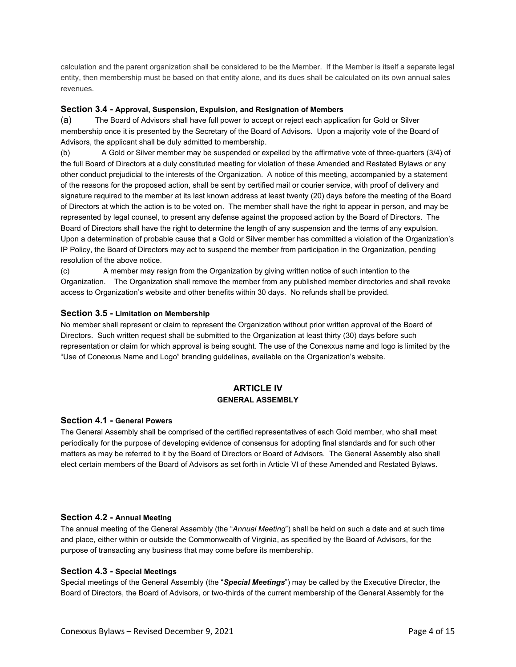calculation and the parent organization shall be considered to be the Member. If the Member is itself a separate legal entity, then membership must be based on that entity alone, and its dues shall be calculated on its own annual sales revenues.

## **Section 3.4 - Approval, Suspension, Expulsion, and Resignation of Members**

(a) The Board of Advisors shall have full power to accept or reject each application for Gold or Silver membership once it is presented by the Secretary of the Board of Advisors. Upon a majority vote of the Board of Advisors, the applicant shall be duly admitted to membership.

(b) A Gold or Silver member may be suspended or expelled by the affirmative vote of three-quarters (3/4) of the full Board of Directors at a duly constituted meeting for violation of these Amended and Restated Bylaws or any other conduct prejudicial to the interests of the Organization. A notice of this meeting, accompanied by a statement of the reasons for the proposed action, shall be sent by certified mail or courier service, with proof of delivery and signature required to the member at its last known address at least twenty (20) days before the meeting of the Board of Directors at which the action is to be voted on. The member shall have the right to appear in person, and may be represented by legal counsel, to present any defense against the proposed action by the Board of Directors. The Board of Directors shall have the right to determine the length of any suspension and the terms of any expulsion. Upon a determination of probable cause that a Gold or Silver member has committed a violation of the Organization's IP Policy, the Board of Directors may act to suspend the member from participation in the Organization, pending resolution of the above notice.

(c) A member may resign from the Organization by giving written notice of such intention to the Organization. The Organization shall remove the member from any published member directories and shall revoke access to Organization's website and other benefits within 30 days. No refunds shall be provided.

## **Section 3.5 - Limitation on Membership**

No member shall represent or claim to represent the Organization without prior written approval of the Board of Directors. Such written request shall be submitted to the Organization at least thirty (30) days before such representation or claim for which approval is being sought. The use of the Conexxus name and logo is limited by the "Use of Conexxus Name and Logo" branding guidelines, available on the Organization's website.

# **ARTICLE IV GENERAL ASSEMBLY**

#### **Section 4.1 - General Powers**

The General Assembly shall be comprised of the certified representatives of each Gold member, who shall meet periodically for the purpose of developing evidence of consensus for adopting final standards and for such other matters as may be referred to it by the Board of Directors or Board of Advisors. The General Assembly also shall elect certain members of the Board of Advisors as set forth in Article VI of these Amended and Restated Bylaws.

#### **Section 4.2 - Annual Meeting**

The annual meeting of the General Assembly (the "*Annual Meeting*") shall be held on such a date and at such time and place, either within or outside the Commonwealth of Virginia, as specified by the Board of Advisors, for the purpose of transacting any business that may come before its membership.

#### **Section 4.3 - Special Meetings**

Special meetings of the General Assembly (the "*Special Meetings*") may be called by the Executive Director, the Board of Directors, the Board of Advisors, or two-thirds of the current membership of the General Assembly for the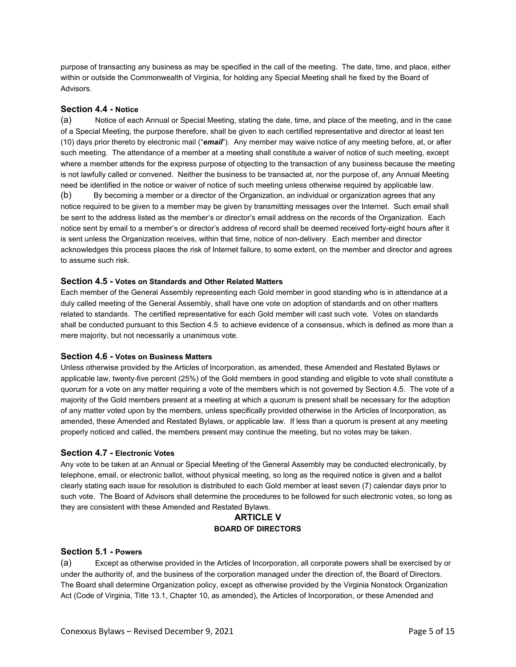purpose of transacting any business as may be specified in the call of the meeting. The date, time, and place, either within or outside the Commonwealth of Virginia, for holding any Special Meeting shall he fixed by the Board of Advisors.

## **Section 4.4 - Notice**

(a) Notice of each Annual or Special Meeting, stating the date, time, and place of the meeting, and in the case of a Special Meeting, the purpose therefore, shall be given to each certified representative and director at least ten (10) days prior thereto by electronic mail ("*email*"). Any member may waive notice of any meeting before, at, or after such meeting. The attendance of a member at a meeting shall constitute a waiver of notice of such meeting, except where a member attends for the express purpose of objecting to the transaction of any business because the meeting is not lawfully called or convened. Neither the business to be transacted at, nor the purpose of, any Annual Meeting need be identified in the notice or waiver of notice of such meeting unless otherwise required by applicable law.

(b) By becoming a member or a director of the Organization, an individual or organization agrees that any notice required to be given to a member may be given by transmitting messages over the Internet. Such email shall be sent to the address listed as the member's or director's email address on the records of the Organization. Each notice sent by email to a member's or director's address of record shall be deemed received forty-eight hours after it is sent unless the Organization receives, within that time, notice of non-delivery. Each member and director acknowledges this process places the risk of Internet failure, to some extent, on the member and director and agrees to assume such risk.

#### **Section 4.5 - Votes on Standards and Other Related Matters**

Each member of the General Assembly representing each Gold member in good standing who is in attendance at a duly called meeting of the General Assembly, shall have one vote on adoption of standards and on other matters related to standards. The certified representative for each Gold member will cast such vote. Votes on standards shall be conducted pursuant to this Section 4.5 to achieve evidence of a consensus, which is defined as more than a mere majority, but not necessarily a unanimous vote.

## **Section 4.6 - Votes on Business Matters**

Unless otherwise provided by the Articles of Incorporation, as amended, these Amended and Restated Bylaws or applicable law, twenty-five percent (25%) of the Gold members in good standing and eligible to vote shall constitute a quorum for a vote on any matter requiring a vote of the members which is not governed by Section 4.5. The vote of a majority of the Gold members present at a meeting at which a quorum is present shall be necessary for the adoption of any matter voted upon by the members, unless specifically provided otherwise in the Articles of Incorporation, as amended, these Amended and Restated Bylaws, or applicable law. If less than a quorum is present at any meeting properly noticed and called, the members present may continue the meeting, but no votes may be taken.

#### **Section 4.7 - Electronic Votes**

Any vote to be taken at an Annual or Special Meeting of the General Assembly may be conducted electronically, by telephone, email, or electronic ballot, without physical meeting, so long as the required notice is given and a ballot clearly stating each issue for resolution is distributed to each Gold member at least seven (7) calendar days prior to such vote. The Board of Advisors shall determine the procedures to be followed for such electronic votes, so long as they are consistent with these Amended and Restated Bylaws.

# **ARTICLE V BOARD OF DIRECTORS**

## **Section 5.1 - Powers**

(a) Except as otherwise provided in the Articles of Incorporation, all corporate powers shall be exercised by or under the authority of, and the business of the corporation managed under the direction of, the Board of Directors. The Board shall determine Organization policy, except as otherwise provided by the Virginia Nonstock Organization Act (Code of Virginia, Title 13.1, Chapter 10, as amended), the Articles of Incorporation, or these Amended and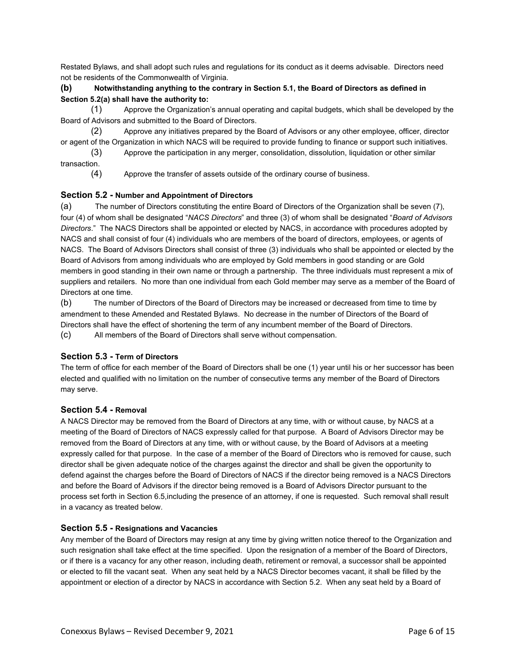Restated Bylaws, and shall adopt such rules and regulations for its conduct as it deems advisable. Directors need not be residents of the Commonwealth of Virginia.

## **(b) Notwithstanding anything to the contrary in Section 5.1, the Board of Directors as defined in Section 5.2(a) shall have the authority to:**

(1) Approve the Organization's annual operating and capital budgets, which shall be developed by the Board of Advisors and submitted to the Board of Directors.

(2) Approve any initiatives prepared by the Board of Advisors or any other employee, officer, director or agent of the Organization in which NACS will be required to provide funding to finance or support such initiatives.

(3) Approve the participation in any merger, consolidation, dissolution, liquidation or other similar transaction.

(4) Approve the transfer of assets outside of the ordinary course of business.

## **Section 5.2 - Number and Appointment of Directors**

(a) The number of Directors constituting the entire Board of Directors of the Organization shall be seven (7), four (4) of whom shall be designated "*NACS Directors*" and three (3) of whom shall be designated "*Board of Advisors Directors*." The NACS Directors shall be appointed or elected by NACS, in accordance with procedures adopted by NACS and shall consist of four (4) individuals who are members of the board of directors, employees, or agents of NACS. The Board of Advisors Directors shall consist of three (3) individuals who shall be appointed or elected by the Board of Advisors from among individuals who are employed by Gold members in good standing or are Gold members in good standing in their own name or through a partnership. The three individuals must represent a mix of suppliers and retailers. No more than one individual from each Gold member may serve as a member of the Board of Directors at one time.

(b) The number of Directors of the Board of Directors may be increased or decreased from time to time by amendment to these Amended and Restated Bylaws. No decrease in the number of Directors of the Board of Directors shall have the effect of shortening the term of any incumbent member of the Board of Directors. (c) All members of the Board of Directors shall serve without compensation.

## **Section 5.3 - Term of Directors**

The term of office for each member of the Board of Directors shall be one (1) year until his or her successor has been elected and qualified with no limitation on the number of consecutive terms any member of the Board of Directors may serve.

## **Section 5.4 - Removal**

A NACS Director may be removed from the Board of Directors at any time, with or without cause, by NACS at a meeting of the Board of Directors of NACS expressly called for that purpose. A Board of Advisors Director may be removed from the Board of Directors at any time, with or without cause, by the Board of Advisors at a meeting expressly called for that purpose. In the case of a member of the Board of Directors who is removed for cause, such director shall be given adequate notice of the charges against the director and shall be given the opportunity to defend against the charges before the Board of Directors of NACS if the director being removed is a NACS Directors and before the Board of Advisors if the director being removed is a Board of Advisors Director pursuant to the process set forth in Section 6.5,including the presence of an attorney, if one is requested. Such removal shall result in a vacancy as treated below.

#### **Section 5.5 - Resignations and Vacancies**

Any member of the Board of Directors may resign at any time by giving written notice thereof to the Organization and such resignation shall take effect at the time specified. Upon the resignation of a member of the Board of Directors, or if there is a vacancy for any other reason, including death, retirement or removal, a successor shall be appointed or elected to fill the vacant seat. When any seat held by a NACS Director becomes vacant, it shall be filled by the appointment or election of a director by NACS in accordance with Section 5.2. When any seat held by a Board of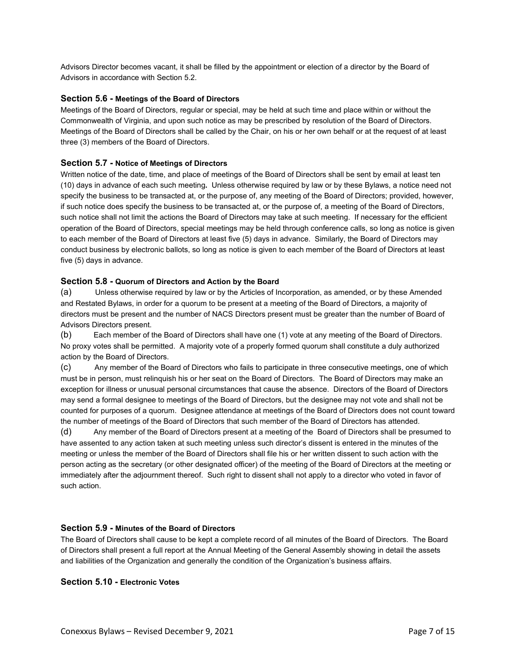Advisors Director becomes vacant, it shall be filled by the appointment or election of a director by the Board of Advisors in accordance with Section 5.2.

## **Section 5.6 - Meetings of the Board of Directors**

Meetings of the Board of Directors, regular or special, may be held at such time and place within or without the Commonwealth of Virginia, and upon such notice as may be prescribed by resolution of the Board of Directors. Meetings of the Board of Directors shall be called by the Chair, on his or her own behalf or at the request of at least three (3) members of the Board of Directors.

## **Section 5.7 - Notice of Meetings of Directors**

Written notice of the date, time, and place of meetings of the Board of Directors shall be sent by email at least ten (10) days in advance of each such meeting**.** Unless otherwise required by law or by these Bylaws, a notice need not specify the business to be transacted at, or the purpose of, any meeting of the Board of Directors; provided, however, if such notice does specify the business to be transacted at, or the purpose of, a meeting of the Board of Directors, such notice shall not limit the actions the Board of Directors may take at such meeting. If necessary for the efficient operation of the Board of Directors, special meetings may be held through conference calls, so long as notice is given to each member of the Board of Directors at least five (5) days in advance. Similarly, the Board of Directors may conduct business by electronic ballots, so long as notice is given to each member of the Board of Directors at least five (5) days in advance.

#### **Section 5.8 - Quorum of Directors and Action by the Board**

(a) Unless otherwise required by law or by the Articles of Incorporation, as amended, or by these Amended and Restated Bylaws, in order for a quorum to be present at a meeting of the Board of Directors, a majority of directors must be present and the number of NACS Directors present must be greater than the number of Board of Advisors Directors present.

(b) Each member of the Board of Directors shall have one (1) vote at any meeting of the Board of Directors. No proxy votes shall be permitted. A majority vote of a properly formed quorum shall constitute a duly authorized action by the Board of Directors.

(c) Any member of the Board of Directors who fails to participate in three consecutive meetings, one of which must be in person, must relinquish his or her seat on the Board of Directors. The Board of Directors may make an exception for illness or unusual personal circumstances that cause the absence. Directors of the Board of Directors may send a formal designee to meetings of the Board of Directors, but the designee may not vote and shall not be counted for purposes of a quorum. Designee attendance at meetings of the Board of Directors does not count toward the number of meetings of the Board of Directors that such member of the Board of Directors has attended.

(d) Any member of the Board of Directors present at a meeting of the Board of Directors shall be presumed to have assented to any action taken at such meeting unless such director's dissent is entered in the minutes of the meeting or unless the member of the Board of Directors shall file his or her written dissent to such action with the person acting as the secretary (or other designated officer) of the meeting of the Board of Directors at the meeting or immediately after the adjournment thereof. Such right to dissent shall not apply to a director who voted in favor of such action.

## **Section 5.9 - Minutes of the Board of Directors**

The Board of Directors shall cause to be kept a complete record of all minutes of the Board of Directors. The Board of Directors shall present a full report at the Annual Meeting of the General Assembly showing in detail the assets and liabilities of the Organization and generally the condition of the Organization's business affairs.

#### **Section 5.10 - Electronic Votes**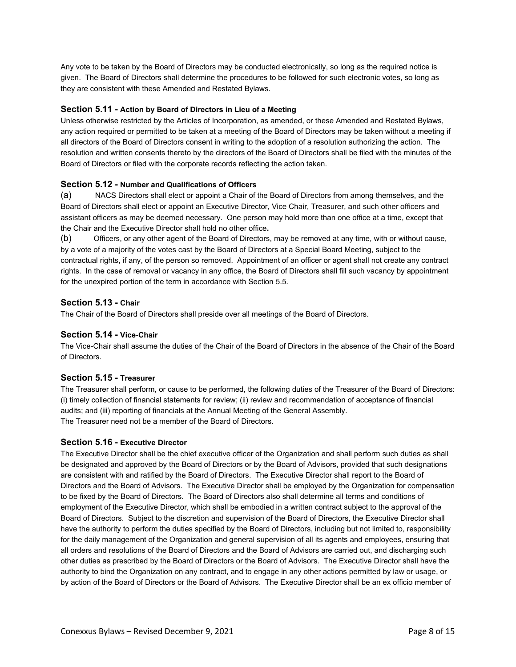Any vote to be taken by the Board of Directors may be conducted electronically, so long as the required notice is given. The Board of Directors shall determine the procedures to be followed for such electronic votes, so long as they are consistent with these Amended and Restated Bylaws.

## **Section 5.11 - Action by Board of Directors in Lieu of a Meeting**

Unless otherwise restricted by the Articles of Incorporation, as amended, or these Amended and Restated Bylaws, any action required or permitted to be taken at a meeting of the Board of Directors may be taken without a meeting if all directors of the Board of Directors consent in writing to the adoption of a resolution authorizing the action. The resolution and written consents thereto by the directors of the Board of Directors shall be filed with the minutes of the Board of Directors or filed with the corporate records reflecting the action taken.

## **Section 5.12 - Number and Qualifications of Officers**

(a) NACS Directors shall elect or appoint a Chair of the Board of Directors from among themselves, and the Board of Directors shall elect or appoint an Executive Director, Vice Chair, Treasurer, and such other officers and assistant officers as may be deemed necessary. One person may hold more than one office at a time, except that the Chair and the Executive Director shall hold no other office**.**

(b) Officers, or any other agent of the Board of Directors, may be removed at any time, with or without cause, by a vote of a majority of the votes cast by the Board of Directors at a Special Board Meeting, subject to the contractual rights, if any, of the person so removed. Appointment of an officer or agent shall not create any contract rights. In the case of removal or vacancy in any office, the Board of Directors shall fill such vacancy by appointment for the unexpired portion of the term in accordance with Section 5.5.

## **Section 5.13 - Chair**

The Chair of the Board of Directors shall preside over all meetings of the Board of Directors.

## **Section 5.14 - Vice-Chair**

The Vice-Chair shall assume the duties of the Chair of the Board of Directors in the absence of the Chair of the Board of Directors.

## **Section 5.15 - Treasurer**

The Treasurer shall perform, or cause to be performed, the following duties of the Treasurer of the Board of Directors: (i) timely collection of financial statements for review; (ii) review and recommendation of acceptance of financial audits; and (iii) reporting of financials at the Annual Meeting of the General Assembly. The Treasurer need not be a member of the Board of Directors.

#### **Section 5.16 - Executive Director**

The Executive Director shall be the chief executive officer of the Organization and shall perform such duties as shall be designated and approved by the Board of Directors or by the Board of Advisors, provided that such designations are consistent with and ratified by the Board of Directors. The Executive Director shall report to the Board of Directors and the Board of Advisors. The Executive Director shall be employed by the Organization for compensation to be fixed by the Board of Directors. The Board of Directors also shall determine all terms and conditions of employment of the Executive Director, which shall be embodied in a written contract subject to the approval of the Board of Directors. Subject to the discretion and supervision of the Board of Directors, the Executive Director shall have the authority to perform the duties specified by the Board of Directors, including but not limited to, responsibility for the daily management of the Organization and general supervision of all its agents and employees, ensuring that all orders and resolutions of the Board of Directors and the Board of Advisors are carried out, and discharging such other duties as prescribed by the Board of Directors or the Board of Advisors. The Executive Director shall have the authority to bind the Organization on any contract, and to engage in any other actions permitted by law or usage, or by action of the Board of Directors or the Board of Advisors. The Executive Director shall be an ex officio member of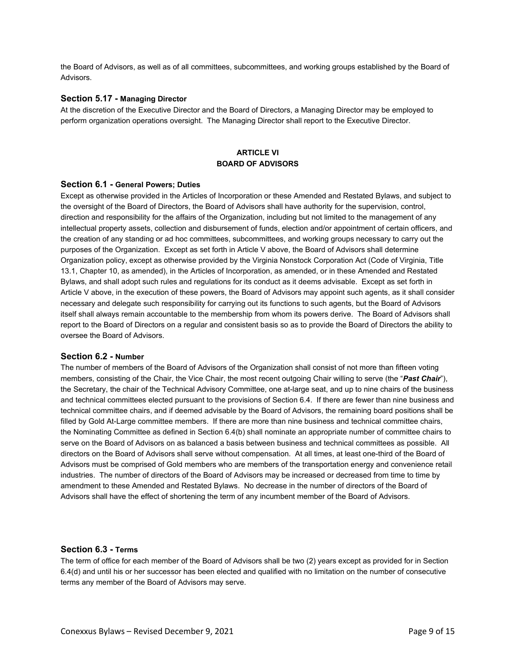the Board of Advisors, as well as of all committees, subcommittees, and working groups established by the Board of Advisors.

#### **Section 5.17 - Managing Director**

At the discretion of the Executive Director and the Board of Directors, a Managing Director may be employed to perform organization operations oversight. The Managing Director shall report to the Executive Director.

## **ARTICLE VI BOARD OF ADVISORS**

#### **Section 6.1 - General Powers; Duties**

Except as otherwise provided in the Articles of Incorporation or these Amended and Restated Bylaws, and subject to the oversight of the Board of Directors, the Board of Advisors shall have authority for the supervision, control, direction and responsibility for the affairs of the Organization, including but not limited to the management of any intellectual property assets, collection and disbursement of funds, election and/or appointment of certain officers, and the creation of any standing or ad hoc committees, subcommittees, and working groups necessary to carry out the purposes of the Organization. Except as set forth in Article V above, the Board of Advisors shall determine Organization policy, except as otherwise provided by the Virginia Nonstock Corporation Act (Code of Virginia, Title 13.1, Chapter 10, as amended), in the Articles of Incorporation, as amended, or in these Amended and Restated Bylaws, and shall adopt such rules and regulations for its conduct as it deems advisable. Except as set forth in Article V above, in the execution of these powers, the Board of Advisors may appoint such agents, as it shall consider necessary and delegate such responsibility for carrying out its functions to such agents, but the Board of Advisors itself shall always remain accountable to the membership from whom its powers derive. The Board of Advisors shall report to the Board of Directors on a regular and consistent basis so as to provide the Board of Directors the ability to oversee the Board of Advisors.

#### **Section 6.2 - Number**

The number of members of the Board of Advisors of the Organization shall consist of not more than fifteen voting members, consisting of the Chair, the Vice Chair, the most recent outgoing Chair willing to serve (the "*Past Chair*"), the Secretary, the chair of the Technical Advisory Committee, one at-large seat, and up to nine chairs of the business and technical committees elected pursuant to the provisions of Section 6.4. If there are fewer than nine business and technical committee chairs, and if deemed advisable by the Board of Advisors, the remaining board positions shall be filled by Gold At-Large committee members. If there are more than nine business and technical committee chairs, the Nominating Committee as defined in Section 6.4(b) shall nominate an appropriate number of committee chairs to serve on the Board of Advisors on as balanced a basis between business and technical committees as possible. All directors on the Board of Advisors shall serve without compensation. At all times, at least one-third of the Board of Advisors must be comprised of Gold members who are members of the transportation energy and convenience retail industries. The number of directors of the Board of Advisors may be increased or decreased from time to time by amendment to these Amended and Restated Bylaws. No decrease in the number of directors of the Board of Advisors shall have the effect of shortening the term of any incumbent member of the Board of Advisors.

#### **Section 6.3 - Terms**

The term of office for each member of the Board of Advisors shall be two (2) years except as provided for in Section 6.4(d) and until his or her successor has been elected and qualified with no limitation on the number of consecutive terms any member of the Board of Advisors may serve.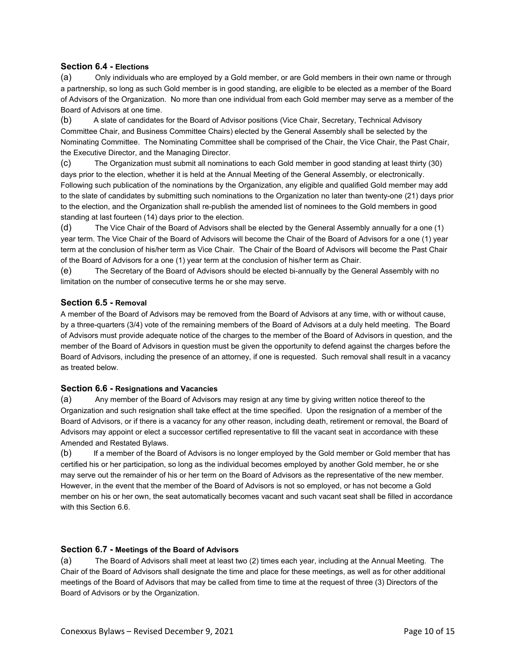## **Section 6.4 - Elections**

(a) Only individuals who are employed by a Gold member, or are Gold members in their own name or through a partnership, so long as such Gold member is in good standing, are eligible to be elected as a member of the Board of Advisors of the Organization. No more than one individual from each Gold member may serve as a member of the Board of Advisors at one time.

(b) A slate of candidates for the Board of Advisor positions (Vice Chair, Secretary, Technical Advisory Committee Chair, and Business Committee Chairs) elected by the General Assembly shall be selected by the Nominating Committee. The Nominating Committee shall be comprised of the Chair, the Vice Chair, the Past Chair, the Executive Director, and the Managing Director.

(c) The Organization must submit all nominations to each Gold member in good standing at least thirty (30) days prior to the election, whether it is held at the Annual Meeting of the General Assembly, or electronically. Following such publication of the nominations by the Organization, any eligible and qualified Gold member may add to the slate of candidates by submitting such nominations to the Organization no later than twenty-one (21) days prior to the election, and the Organization shall re-publish the amended list of nominees to the Gold members in good standing at last fourteen (14) days prior to the election.

(d) The Vice Chair of the Board of Advisors shall be elected by the General Assembly annually for a one (1) year term. The Vice Chair of the Board of Advisors will become the Chair of the Board of Advisors for a one (1) year term at the conclusion of his/her term as Vice Chair. The Chair of the Board of Advisors will become the Past Chair of the Board of Advisors for a one (1) year term at the conclusion of his/her term as Chair.

(e) The Secretary of the Board of Advisors should be elected bi-annually by the General Assembly with no limitation on the number of consecutive terms he or she may serve.

## **Section 6.5 - Removal**

A member of the Board of Advisors may be removed from the Board of Advisors at any time, with or without cause, by a three-quarters (3/4) vote of the remaining members of the Board of Advisors at a duly held meeting. The Board of Advisors must provide adequate notice of the charges to the member of the Board of Advisors in question, and the member of the Board of Advisors in question must be given the opportunity to defend against the charges before the Board of Advisors, including the presence of an attorney, if one is requested. Such removal shall result in a vacancy as treated below.

## **Section 6.6 - Resignations and Vacancies**

(a) Any member of the Board of Advisors may resign at any time by giving written notice thereof to the Organization and such resignation shall take effect at the time specified. Upon the resignation of a member of the Board of Advisors, or if there is a vacancy for any other reason, including death, retirement or removal, the Board of Advisors may appoint or elect a successor certified representative to fill the vacant seat in accordance with these Amended and Restated Bylaws.

(b) If a member of the Board of Advisors is no longer employed by the Gold member or Gold member that has certified his or her participation, so long as the individual becomes employed by another Gold member, he or she may serve out the remainder of his or her term on the Board of Advisors as the representative of the new member. However, in the event that the member of the Board of Advisors is not so employed, or has not become a Gold member on his or her own, the seat automatically becomes vacant and such vacant seat shall be filled in accordance with this Section 6.6.

## **Section 6.7 - Meetings of the Board of Advisors**

(a) The Board of Advisors shall meet at least two (2) times each year, including at the Annual Meeting. The Chair of the Board of Advisors shall designate the time and place for these meetings, as well as for other additional meetings of the Board of Advisors that may be called from time to time at the request of three (3) Directors of the Board of Advisors or by the Organization.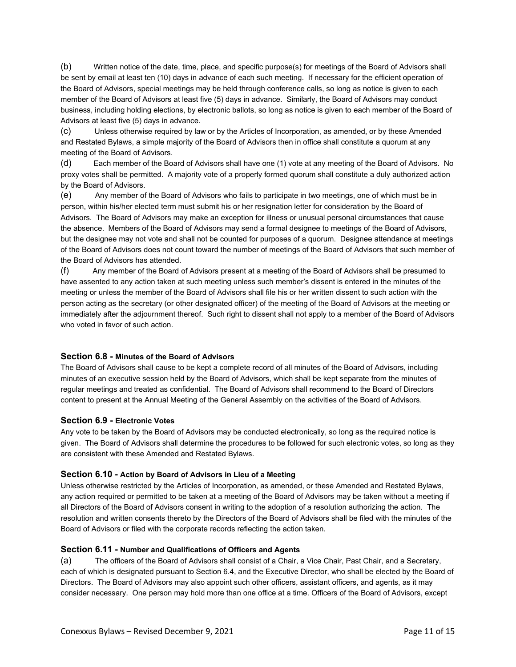(b) Written notice of the date, time, place, and specific purpose(s) for meetings of the Board of Advisors shall be sent by email at least ten (10) days in advance of each such meeting. If necessary for the efficient operation of the Board of Advisors, special meetings may be held through conference calls, so long as notice is given to each member of the Board of Advisors at least five (5) days in advance. Similarly, the Board of Advisors may conduct business, including holding elections, by electronic ballots, so long as notice is given to each member of the Board of Advisors at least five (5) days in advance.

(c) Unless otherwise required by law or by the Articles of Incorporation, as amended, or by these Amended and Restated Bylaws, a simple majority of the Board of Advisors then in office shall constitute a quorum at any meeting of the Board of Advisors.

(d) Each member of the Board of Advisors shall have one (1) vote at any meeting of the Board of Advisors. No proxy votes shall be permitted. A majority vote of a properly formed quorum shall constitute a duly authorized action by the Board of Advisors.

(e) Any member of the Board of Advisors who fails to participate in two meetings, one of which must be in person, within his/her elected term must submit his or her resignation letter for consideration by the Board of Advisors. The Board of Advisors may make an exception for illness or unusual personal circumstances that cause the absence. Members of the Board of Advisors may send a formal designee to meetings of the Board of Advisors, but the designee may not vote and shall not be counted for purposes of a quorum. Designee attendance at meetings of the Board of Advisors does not count toward the number of meetings of the Board of Advisors that such member of the Board of Advisors has attended.

(f) Any member of the Board of Advisors present at a meeting of the Board of Advisors shall be presumed to have assented to any action taken at such meeting unless such member's dissent is entered in the minutes of the meeting or unless the member of the Board of Advisors shall file his or her written dissent to such action with the person acting as the secretary (or other designated officer) of the meeting of the Board of Advisors at the meeting or immediately after the adjournment thereof. Such right to dissent shall not apply to a member of the Board of Advisors who voted in favor of such action.

## **Section 6.8 - Minutes of the Board of Advisors**

The Board of Advisors shall cause to be kept a complete record of all minutes of the Board of Advisors, including minutes of an executive session held by the Board of Advisors, which shall be kept separate from the minutes of regular meetings and treated as confidential. The Board of Advisors shall recommend to the Board of Directors content to present at the Annual Meeting of the General Assembly on the activities of the Board of Advisors.

## **Section 6.9 - Electronic Votes**

Any vote to be taken by the Board of Advisors may be conducted electronically, so long as the required notice is given. The Board of Advisors shall determine the procedures to be followed for such electronic votes, so long as they are consistent with these Amended and Restated Bylaws.

#### **Section 6.10 - Action by Board of Advisors in Lieu of a Meeting**

Unless otherwise restricted by the Articles of Incorporation, as amended, or these Amended and Restated Bylaws, any action required or permitted to be taken at a meeting of the Board of Advisors may be taken without a meeting if all Directors of the Board of Advisors consent in writing to the adoption of a resolution authorizing the action. The resolution and written consents thereto by the Directors of the Board of Advisors shall be filed with the minutes of the Board of Advisors or filed with the corporate records reflecting the action taken.

#### **Section 6.11 - Number and Qualifications of Officers and Agents**

(a) The officers of the Board of Advisors shall consist of a Chair, a Vice Chair, Past Chair, and a Secretary, each of which is designated pursuant to Section 6.4, and the Executive Director, who shall be elected by the Board of Directors. The Board of Advisors may also appoint such other officers, assistant officers, and agents, as it may consider necessary. One person may hold more than one office at a time. Officers of the Board of Advisors, except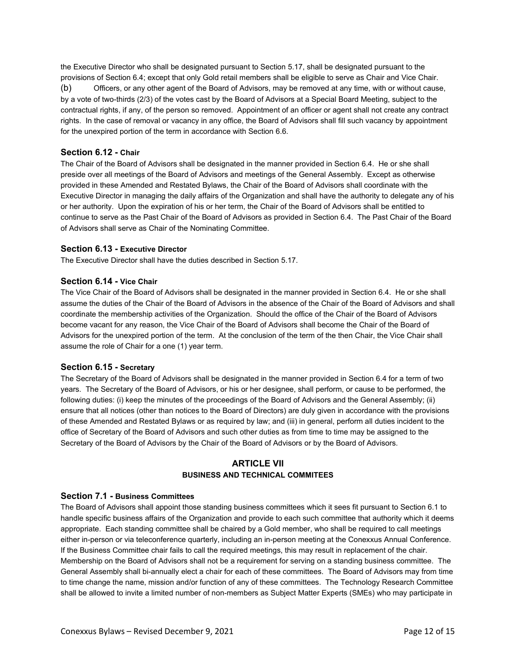the Executive Director who shall be designated pursuant to Section 5.17, shall be designated pursuant to the provisions of Section 6.4; except that only Gold retail members shall be eligible to serve as Chair and Vice Chair.

(b) Officers, or any other agent of the Board of Advisors, may be removed at any time, with or without cause, by a vote of two-thirds (2/3) of the votes cast by the Board of Advisors at a Special Board Meeting, subject to the contractual rights, if any, of the person so removed. Appointment of an officer or agent shall not create any contract rights. In the case of removal or vacancy in any office, the Board of Advisors shall fill such vacancy by appointment for the unexpired portion of the term in accordance with Section 6.6.

## **Section 6.12 - Chair**

The Chair of the Board of Advisors shall be designated in the manner provided in Section 6.4. He or she shall preside over all meetings of the Board of Advisors and meetings of the General Assembly. Except as otherwise provided in these Amended and Restated Bylaws, the Chair of the Board of Advisors shall coordinate with the Executive Director in managing the daily affairs of the Organization and shall have the authority to delegate any of his or her authority. Upon the expiration of his or her term, the Chair of the Board of Advisors shall be entitled to continue to serve as the Past Chair of the Board of Advisors as provided in Section 6.4. The Past Chair of the Board of Advisors shall serve as Chair of the Nominating Committee.

## **Section 6.13 - Executive Director**

The Executive Director shall have the duties described in Section 5.17.

## **Section 6.14 - Vice Chair**

The Vice Chair of the Board of Advisors shall be designated in the manner provided in Section 6.4. He or she shall assume the duties of the Chair of the Board of Advisors in the absence of the Chair of the Board of Advisors and shall coordinate the membership activities of the Organization. Should the office of the Chair of the Board of Advisors become vacant for any reason, the Vice Chair of the Board of Advisors shall become the Chair of the Board of Advisors for the unexpired portion of the term. At the conclusion of the term of the then Chair, the Vice Chair shall assume the role of Chair for a one (1) year term.

## **Section 6.15 - Secretary**

The Secretary of the Board of Advisors shall be designated in the manner provided in Section 6.4 for a term of two years. The Secretary of the Board of Advisors, or his or her designee, shall perform, or cause to be performed, the following duties: (i) keep the minutes of the proceedings of the Board of Advisors and the General Assembly; (ii) ensure that all notices (other than notices to the Board of Directors) are duly given in accordance with the provisions of these Amended and Restated Bylaws or as required by law; and (iii) in general, perform all duties incident to the office of Secretary of the Board of Advisors and such other duties as from time to time may be assigned to the Secretary of the Board of Advisors by the Chair of the Board of Advisors or by the Board of Advisors.

# **ARTICLE VII BUSINESS AND TECHNICAL COMMITEES**

## **Section 7.1 - Business Committees**

The Board of Advisors shall appoint those standing business committees which it sees fit pursuant to Section 6.1 to handle specific business affairs of the Organization and provide to each such committee that authority which it deems appropriate. Each standing committee shall be chaired by a Gold member, who shall be required to call meetings either in-person or via teleconference quarterly, including an in-person meeting at the Conexxus Annual Conference. If the Business Committee chair fails to call the required meetings, this may result in replacement of the chair. Membership on the Board of Advisors shall not be a requirement for serving on a standing business committee. The General Assembly shall bi-annually elect a chair for each of these committees. The Board of Advisors may from time to time change the name, mission and/or function of any of these committees. The Technology Research Committee shall be allowed to invite a limited number of non-members as Subject Matter Experts (SMEs) who may participate in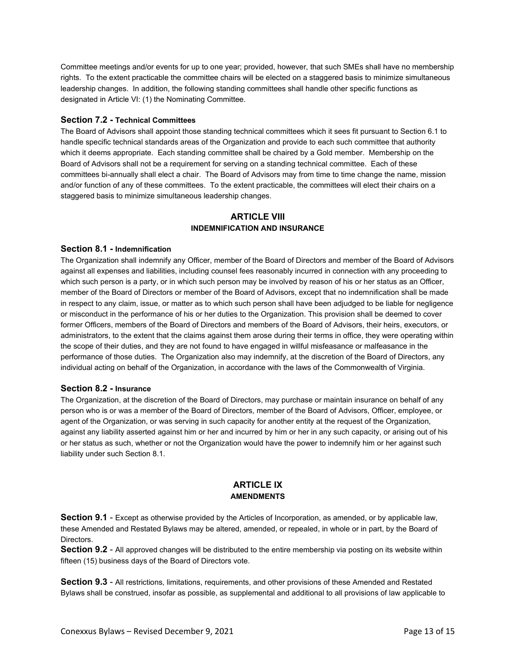Committee meetings and/or events for up to one year; provided, however, that such SMEs shall have no membership rights. To the extent practicable the committee chairs will be elected on a staggered basis to minimize simultaneous leadership changes. In addition, the following standing committees shall handle other specific functions as designated in Article VI: (1) the Nominating Committee.

## **Section 7.2 - Technical Committees**

The Board of Advisors shall appoint those standing technical committees which it sees fit pursuant to Section 6.1 to handle specific technical standards areas of the Organization and provide to each such committee that authority which it deems appropriate. Each standing committee shall be chaired by a Gold member. Membership on the Board of Advisors shall not be a requirement for serving on a standing technical committee. Each of these committees bi-annually shall elect a chair. The Board of Advisors may from time to time change the name, mission and/or function of any of these committees. To the extent practicable, the committees will elect their chairs on a staggered basis to minimize simultaneous leadership changes.

## **ARTICLE VIII INDEMNIFICATION AND INSURANCE**

#### **Section 8.1 - Indemnification**

The Organization shall indemnify any Officer, member of the Board of Directors and member of the Board of Advisors against all expenses and liabilities, including counsel fees reasonably incurred in connection with any proceeding to which such person is a party, or in which such person may be involved by reason of his or her status as an Officer, member of the Board of Directors or member of the Board of Advisors, except that no indemnification shall be made in respect to any claim, issue, or matter as to which such person shall have been adjudged to be liable for negligence or misconduct in the performance of his or her duties to the Organization. This provision shall be deemed to cover former Officers, members of the Board of Directors and members of the Board of Advisors, their heirs, executors, or administrators, to the extent that the claims against them arose during their terms in office, they were operating within the scope of their duties, and they are not found to have engaged in willful misfeasance or malfeasance in the performance of those duties. The Organization also may indemnify, at the discretion of the Board of Directors, any individual acting on behalf of the Organization, in accordance with the laws of the Commonwealth of Virginia.

#### **Section 8.2 - Insurance**

The Organization, at the discretion of the Board of Directors, may purchase or maintain insurance on behalf of any person who is or was a member of the Board of Directors, member of the Board of Advisors, Officer, employee, or agent of the Organization, or was serving in such capacity for another entity at the request of the Organization, against any liability asserted against him or her and incurred by him or her in any such capacity, or arising out of his or her status as such, whether or not the Organization would have the power to indemnify him or her against such liability under such Section 8.1.

## **ARTICLE IX AMENDMENTS**

**Section 9.1** - Except as otherwise provided by the Articles of Incorporation, as amended, or by applicable law, these Amended and Restated Bylaws may be altered, amended, or repealed, in whole or in part, by the Board of Directors.

**Section 9.2** - All approved changes will be distributed to the entire membership via posting on its website within fifteen (15) business days of the Board of Directors vote.

**Section 9.3** - All restrictions, limitations, requirements, and other provisions of these Amended and Restated Bylaws shall be construed, insofar as possible, as supplemental and additional to all provisions of law applicable to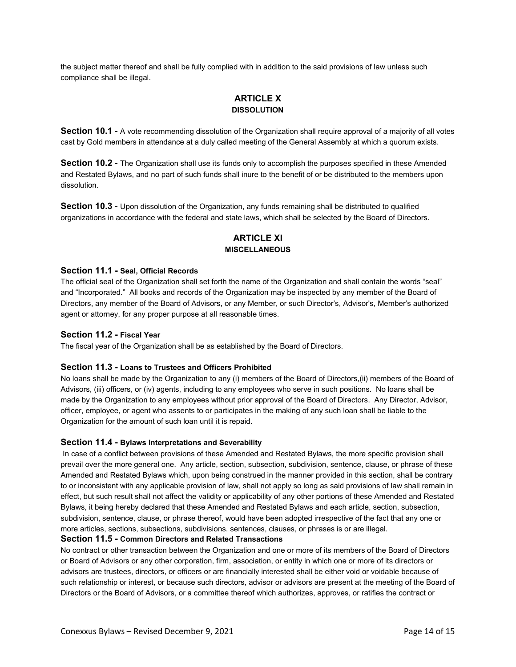the subject matter thereof and shall be fully complied with in addition to the said provisions of law unless such compliance shall be illegal.

# **ARTICLE X DISSOLUTION**

**Section 10.1** - A vote recommending dissolution of the Organization shall require approval of a majority of all votes cast by Gold members in attendance at a duly called meeting of the General Assembly at which a quorum exists.

**Section 10.2** - The Organization shall use its funds only to accomplish the purposes specified in these Amended and Restated Bylaws, and no part of such funds shall inure to the benefit of or be distributed to the members upon dissolution.

**Section 10.3** - Upon dissolution of the Organization, any funds remaining shall be distributed to qualified organizations in accordance with the federal and state laws, which shall be selected by the Board of Directors.

# **ARTICLE XI MISCELLANEOUS**

#### **Section 11.1 - Seal, Official Records**

The official seal of the Organization shall set forth the name of the Organization and shall contain the words "seal" and "Incorporated." All books and records of the Organization may be inspected by any member of the Board of Directors, any member of the Board of Advisors, or any Member, or such Director's, Advisor's, Member's authorized agent or attorney, for any proper purpose at all reasonable times.

#### **Section 11.2 - Fiscal Year**

The fiscal year of the Organization shall be as established by the Board of Directors.

#### **Section 11.3 - Loans to Trustees and Officers Prohibited**

No loans shall be made by the Organization to any (i) members of the Board of Directors,(ii) members of the Board of Advisors, (iii) officers, or (iv) agents, including to any employees who serve in such positions. No loans shall be made by the Organization to any employees without prior approval of the Board of Directors. Any Director, Advisor, officer, employee, or agent who assents to or participates in the making of any such loan shall be liable to the Organization for the amount of such loan until it is repaid.

#### **Section 11.4 - Bylaws Interpretations and Severability**

In case of a conflict between provisions of these Amended and Restated Bylaws, the more specific provision shall prevail over the more general one. Any article, section, subsection, subdivision, sentence, clause, or phrase of these Amended and Restated Bylaws which, upon being construed in the manner provided in this section, shall be contrary to or inconsistent with any applicable provision of law, shall not apply so long as said provisions of law shall remain in effect, but such result shall not affect the validity or applicability of any other portions of these Amended and Restated Bylaws, it being hereby declared that these Amended and Restated Bylaws and each article, section, subsection, subdivision, sentence, clause, or phrase thereof, would have been adopted irrespective of the fact that any one or more articles, sections, subsections, subdivisions. sentences, clauses, or phrases is or are illegal.

## **Section 11.5 - Common Directors and Related Transactions**

No contract or other transaction between the Organization and one or more of its members of the Board of Directors or Board of Advisors or any other corporation, firm, association, or entity in which one or more of its directors or advisors are trustees, directors, or officers or are financially interested shall be either void or voidable because of such relationship or interest, or because such directors, advisor or advisors are present at the meeting of the Board of Directors or the Board of Advisors, or a committee thereof which authorizes, approves, or ratifies the contract or